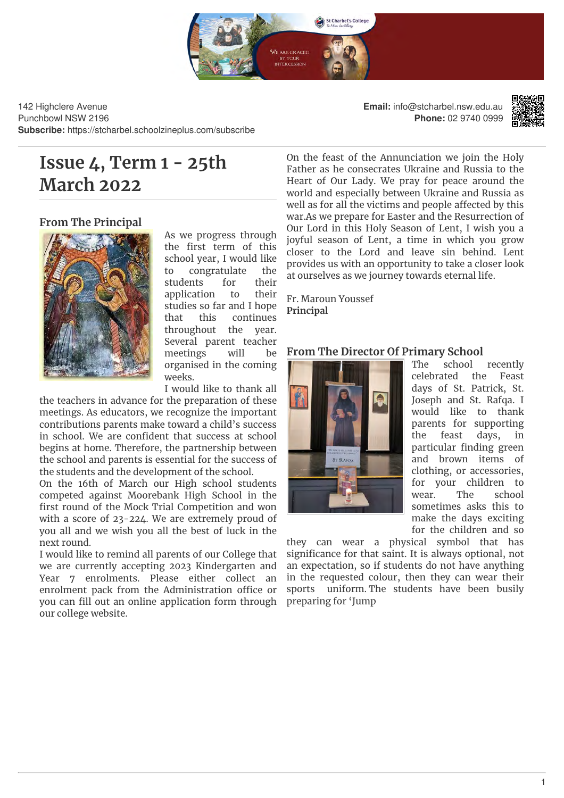

142 Highclere Avenue Punchbowl NSW 2196 **Subscribe:** https://stcharbel.schoolzineplus.com/subscribe **Email:** info@stcharbel.nsw.edu.au **Phone:** 02 9740 0999



# **Issue 4, Term 1 - 25th March 2022**

# **From The Principal**



As we progress through the first term of this school year, I would like to congratulate the students for their application to their studies so far and I hope that this continues throughout the year. Several parent teacher meetings will be organised in the coming weeks.

I would like to thank all

the teachers in advance for the preparation of these meetings. As educators, we recognize the important contributions parents make toward a child's success in school. We are confident that success at school begins at home. Therefore, the partnership between the school and parents is essential for the success of the students and the development of the school.

On the 16th of March our High school students competed against Moorebank High School in the first round of the Mock Trial Competition and won with a score of 23-224. We are extremely proud of you all and we wish you all the best of luck in the next round.

I would like to remind all parents of our College that we are currently accepting 2023 Kindergarten and Year 7 enrolments. Please either collect an enrolment pack from the Administration office or you can fill out an online application form through our college website.

On the feast of the Annunciation we join the Holy Father as he consecrates Ukraine and Russia to the Heart of Our Lady. We pray for peace around the world and especially between Ukraine and Russia as well as for all the victims and people affected by this war.As we prepare for Easter and the Resurrection of Our Lord in this Holy Season of Lent, I wish you a joyful season of Lent, a time in which you grow closer to the Lord and leave sin behind. Lent provides us with an opportunity to take a closer look at ourselves as we journey towards eternal life.

Fr. Maroun Youssef **Principal**

# **From The Director Of Primary School**



The school recently celebrated the Feast days of St. Patrick, St. Joseph and St. Rafqa. I would like to thank parents for supporting the feast days, in particular finding green and brown items of clothing, or accessories, for your children to wear. The school sometimes asks this to make the days exciting for the children and so

they can wear a physical symbol that has significance for that saint. It is always optional, not an expectation, so if students do not have anything in the requested colour, then they can wear their sports uniform. The students have been busily preparing for 'Jump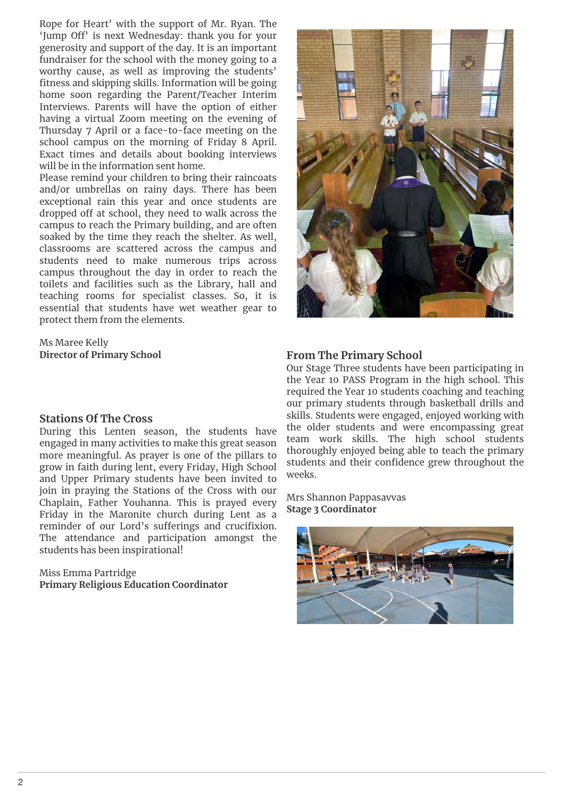Rope for Heart' with the support of Mr. Ryan. The 'Jump Off' is next Wednesday: thank you for your generosity and support of the day. It is an important fundraiser for the school with the money going to a worthy cause, as well as improving the students' fitness and skipping skills. Information will be going home soon regarding the Parent/Teacher Interim Interviews. Parents will have the option of either having a virtual Zoom meeting on the evening of Thursday 7 April or a face-to-face meeting on the school campus on the morning of Friday 8 April. Exact times and details about booking interviews will be in the information sent home.

Please remind your children to bring their raincoats and/or umbrellas on rainy days. There has been exceptional rain this year and once students are dropped off at school, they need to walk across the campus to reach the Primary building, and are often soaked by the time they reach the shelter. As well, classrooms are scattered across the campus and students need to make numerous trips across campus throughout the day in order to reach the toilets and facilities such as the Library, hall and teaching rooms for specialist classes. So, it is essential that students have wet weather gear to protect them from the elements.

Ms Maree Kelly **Director of Primary School**

#### **Stations Of The Cross**

During this Lenten season, the students have engaged in many activities to make this great season more meaningful. As prayer is one of the pillars to grow in faith during lent, every Friday, High School and Upper Primary students have been invited to join in praying the Stations of the Cross with our Chaplain, Father Youhanna. This is prayed every Friday in the Maronite church during Lent as a reminder of our Lord's sufferings and crucifixion. The attendance and participation amongst the students has been inspirational!

Miss Emma Partridge **Primary Religious Education Coordinator** 



#### **From The Primary School**

Our Stage Three students have been participating in the Year 10 PASS Program in the high school. This required the Year 10 students coaching and teaching our primary students through basketball drills and skills. Students were engaged, enjoyed working with the older students and were encompassing great team work skills. The high school students thoroughly enjoyed being able to teach the primary students and their confidence grew throughout the weeks.

Mrs Shannon Pappasavvas **Stage 3 Coordinator** 

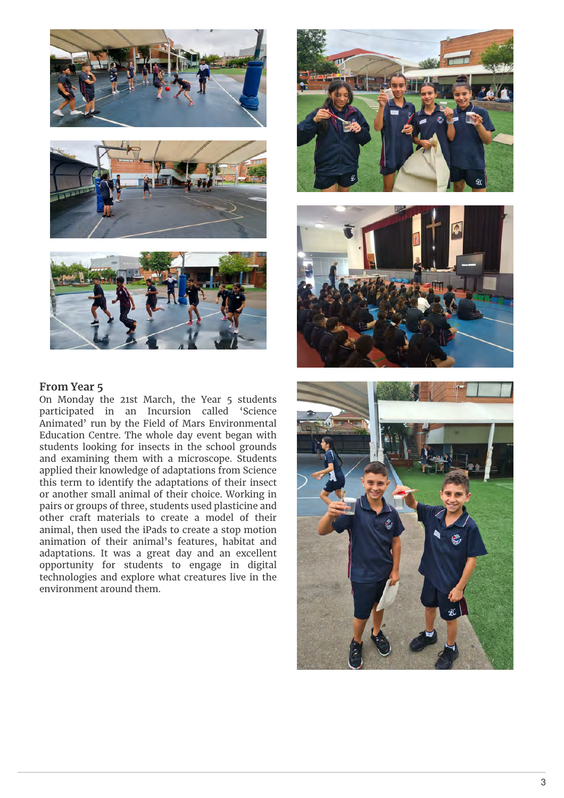





#### **From Year 5**

On Monday the 21st March, the Year 5 students participated in an Incursion called 'Science Animated' run by the Field of Mars Environmental Education Centre. The whole day event began with students looking for insects in the school grounds and examining them with a microscope. Students applied their knowledge of adaptations from Science this term to identify the adaptations of their insect or another small animal of their choice. Working in pairs or groups of three, students used plasticine and other craft materials to create a model of their animal, then used the iPads to create a stop motion animation of their animal's features, habitat and adaptations. It was a great day and an excellent opportunity for students to engage in digital technologies and explore what creatures live in the environment around them.





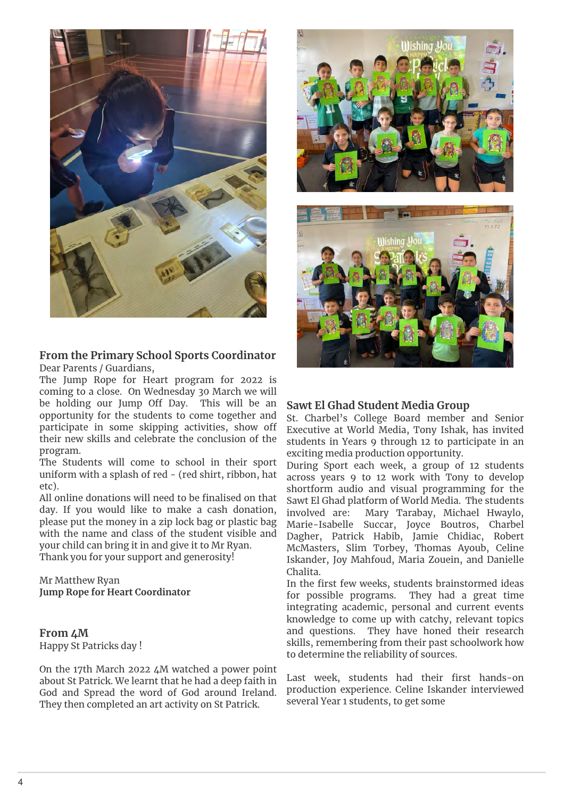

# **From the Primary School Sports Coordinator** Dear Parents / Guardians,

The Jump Rope for Heart program for 2022 is coming to a close. On Wednesday 30 March we will be holding our Jump Off Day. This will be an opportunity for the students to come together and participate in some skipping activities, show off their new skills and celebrate the conclusion of the program.

The Students will come to school in their sport uniform with a splash of red - (red shirt, ribbon, hat etc).

All online donations will need to be finalised on that day. If you would like to make a cash donation, involved are: please put the money in a zip lock bag or plastic bag with the name and class of the student visible and your child can bring it in and give it to Mr Ryan. Thank you for your support and generosity!

Mr Matthew Ryan **Jump Rope for Heart Coordinator**

**From 4M** Happy St Patricks day !

On the 17th March 2022 4M watched a power point about St Patrick. We learnt that he had a deep faith in God and Spread the word of God around Ireland. They then completed an art activity on St Patrick.





### **Sawt El Ghad Student Media Group**

St. Charbel's College Board member and Senior Executive at World Media, Tony Ishak, has invited students in Years 9 through 12 to participate in an exciting media production opportunity.

During Sport each week, a group of 12 students across years 9 to 12 work with Tony to develop shortform audio and visual programming for the Sawt El Ghad platform of World Media. The students Mary Tarabay, Michael Hwaylo, Marie-Isabelle Succar, Joyce Boutros, Charbel Dagher, Patrick Habib, Jamie Chidiac, Robert McMasters, Slim Torbey, Thomas Ayoub, Celine Iskander, Joy Mahfoud, Maria Zouein, and Danielle Chalita.

In the first few weeks, students brainstormed ideas for possible programs. They had a great time integrating academic, personal and current events knowledge to come up with catchy, relevant topics and questions. They have honed their research skills, remembering from their past schoolwork how to determine the reliability of sources.

Last week, students had their first hands-on production experience. Celine Iskander interviewed several Year 1 students, to get some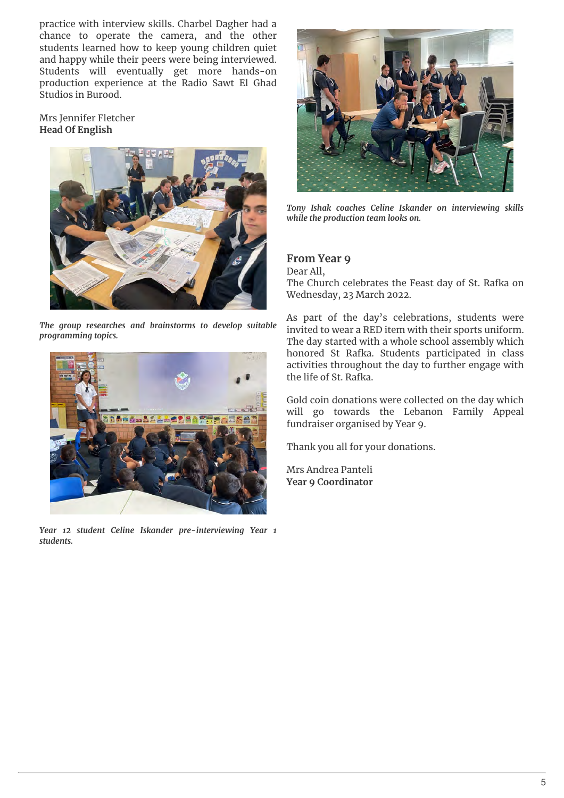practice with interview skills. Charbel Dagher had a chance to operate the camera, and the other students learned how to keep young children quiet and happy while their peers were being interviewed. Students will eventually get more hands-on production experience at the Radio Sawt El Ghad Studios in Burood.

Mrs Jennifer Fletcher **Head Of English**



*The group researches and brainstorms to develop suitable programming topics.*



*Year 12 student Celine Iskander pre-interviewing Year 1 students.*



*Tony Ishak coaches Celine Iskander on interviewing skills while the production team looks on.*

# **From Year 9**

Dear All, The Church celebrates the Feast day of St. Rafka on Wednesday, 23 March 2022.

As part of the day's celebrations, students were invited to wear a RED item with their sports uniform. The day started with a whole school assembly which honored St Rafka. Students participated in class activities throughout the day to further engage with the life of St. Rafka.

Gold coin donations were collected on the day which will go towards the Lebanon Family Appeal fundraiser organised by Year 9.

Thank you all for your donations.

Mrs Andrea Panteli **Year 9 Coordinator**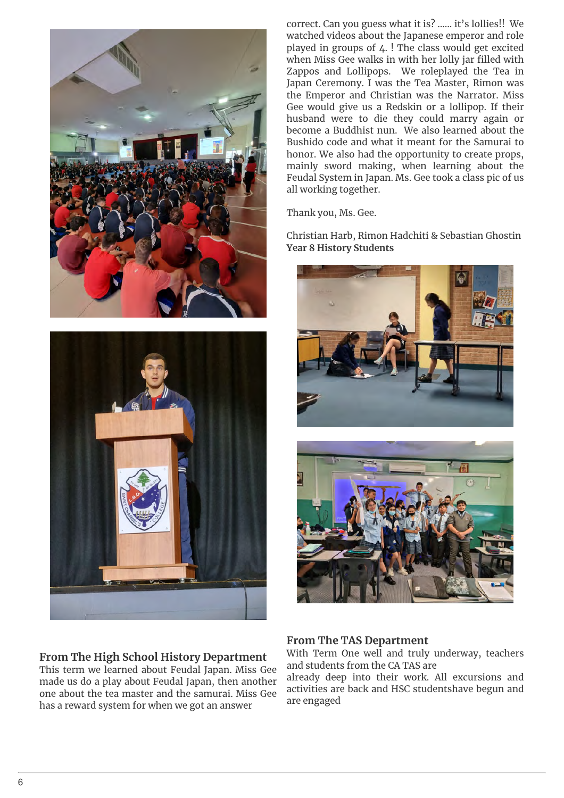



### **From The High School History Department**

This term we learned about Feudal Japan. Miss Gee made us do a play about Feudal Japan, then another one about the tea master and the samurai. Miss Gee has a reward system for when we got an answer

correct. Can you guess what it is? ...... it's lollies!! We watched videos about the Japanese emperor and role played in groups of  $\angle$ . ! The class would get excited when Miss Gee walks in with her lolly jar filled with Zappos and Lollipops. We roleplayed the Tea in Japan Ceremony. I was the Tea Master, Rimon was the Emperor and Christian was the Narrator. Miss Gee would give us a Redskin or a lollipop. If their husband were to die they could marry again or become a Buddhist nun. We also learned about the Bushido code and what it meant for the Samurai to honor. We also had the opportunity to create props, mainly sword making, when learning about the Feudal System in Japan. Ms. Gee took a class pic of us all working together.

Thank you, Ms. Gee.

Christian Harb, Rimon Hadchiti & Sebastian Ghostin **Year 8 History Students**





### **From The TAS Department**

With Term One well and truly underway, teachers and students from the CA TAS are

already deep into their work. All excursions and activities are back and HSC studentshave begun and are engaged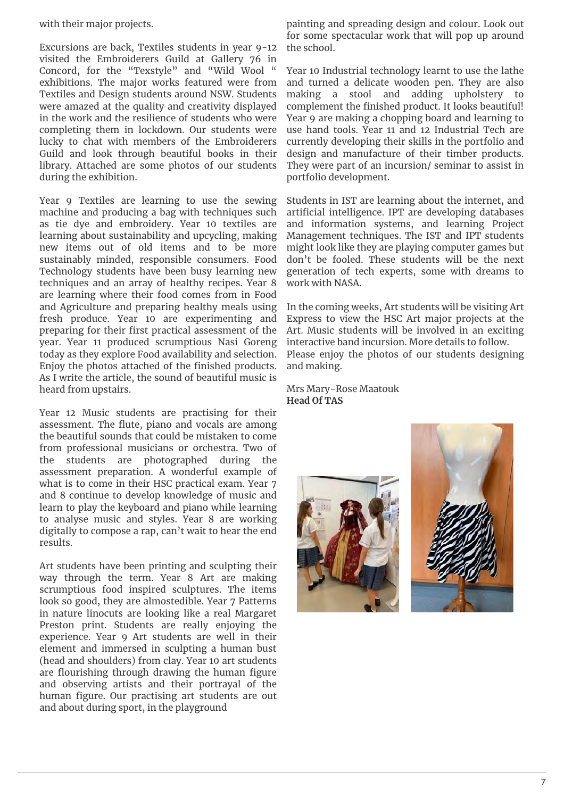with their major projects.

Excursions are back, Textiles students in year 9-12 visited the Embroiderers Guild at Gallery 76 in Concord, for the "Texstyle" and "Wild Wool " exhibitions. The major works featured were from Textiles and Design students around NSW. Students were amazed at the quality and creativity displayed in the work and the resilience of students who were completing them in lockdown. Our students were lucky to chat with members of the Embroiderers Guild and look through beautiful books in their library. Attached are some photos of our students during the exhibition.

Year 9 Textiles are learning to use the sewing machine and producing a bag with techniques such as tie dye and embroidery. Year 10 textiles are learning about sustainability and upcycling, making new items out of old items and to be more sustainably minded, responsible consumers. Food Technology students have been busy learning new techniques and an array of healthy recipes. Year 8 are learning where their food comes from in Food and Agriculture and preparing healthy meals using fresh produce. Year 10 are experimenting and preparing for their first practical assessment of the year. Year 11 produced scrumptious Nasi Goreng today as they explore Food availability and selection. Enjoy the photos attached of the finished products. As I write the article, the sound of beautiful music is heard from upstairs.

Year 12 Music students are practising for their assessment. The flute, piano and vocals are among the beautiful sounds that could be mistaken to come from professional musicians or orchestra. Two of the students are photographed during the assessment preparation. A wonderful example of what is to come in their HSC practical exam. Year 7 and 8 continue to develop knowledge of music and learn to play the keyboard and piano while learning to analyse music and styles. Year 8 are working digitally to compose a rap, can't wait to hear the end results.

Art students have been printing and sculpting their way through the term. Year 8 Art are making scrumptious food inspired sculptures. The items look so good, they are almostedible. Year 7 Patterns in nature linocuts are looking like a real Margaret Preston print. Students are really enjoying the experience. Year 9 Art students are well in their element and immersed in sculpting a human bust (head and shoulders) from clay. Year 10 art students are flourishing through drawing the human figure and observing artists and their portrayal of the human figure. Our practising art students are out and about during sport, in the playground

painting and spreading design and colour. Look out for some spectacular work that will pop up around the school.

Year 10 Industrial technology learnt to use the lathe and turned a delicate wooden pen. They are also making a stool and adding upholstery to complement the finished product. It looks beautiful! Year 9 are making a chopping board and learning to use hand tools. Year 11 and 12 Industrial Tech are currently developing their skills in the portfolio and design and manufacture of their timber products. They were part of an incursion/ seminar to assist in portfolio development.

Students in IST are learning about the internet, and arti
cial intelligence. IPT are developing databases and information systems, and learning Project Management techniques. The IST and IPT students might look like they are playing computer games but don't be fooled. These students will be the next generation of tech experts, some with dreams to work with NASA.

In the coming weeks, Art students will be visiting Art Express to view the HSC Art major projects at the Art. Music students will be involved in an exciting interactive band incursion. More details to follow. Please enjoy the photos of our students designing and making.

Mrs Mary-Rose Maatouk **Head Of TAS**



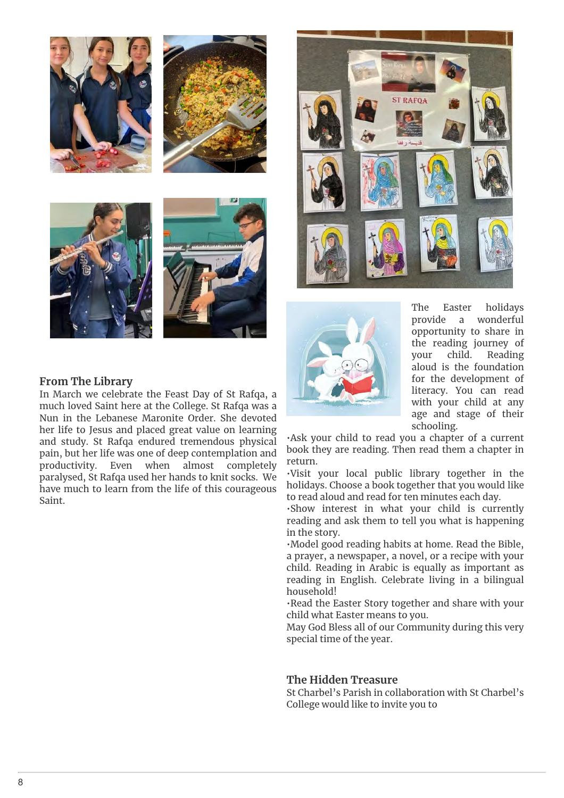





The Easter holidays provide a wonderful opportunity to share in the reading journey of your child. Reading aloud is the foundation for the development of literacy. You can read with your child at any age and stage of their schooling.

•Ask your child to read you a chapter of a current book they are reading. Then read them a chapter in return.

•Visit your local public library together in the holidays. Choose a book together that you would like to read aloud and read for ten minutes each day.

•Show interest in what your child is currently reading and ask them to tell you what is happening in the story.

•Model good reading habits at home. Read the Bible, a prayer, a newspaper, a novel, or a recipe with your child. Reading in Arabic is equally as important as reading in English. Celebrate living in a bilingual household!

•Read the Easter Story together and share with your child what Easter means to you.

May God Bless all of our Community during this very special time of the year.

### **The Hidden Treasure**

St Charbel's Parish in collaboration with St Charbel's College would like to invite you to

### **From The Library**

In March we celebrate the Feast Day of St Rafqa, a much loved Saint here at the College. St Rafqa was a Nun in the Lebanese Maronite Order. She devoted her life to Jesus and placed great value on learning and study. St Rafqa endured tremendous physical pain, but her life was one of deep contemplation and productivity. Even when almost completely paralysed, St Rafqa used her hands to knit socks. We have much to learn from the life of this courageous Saint.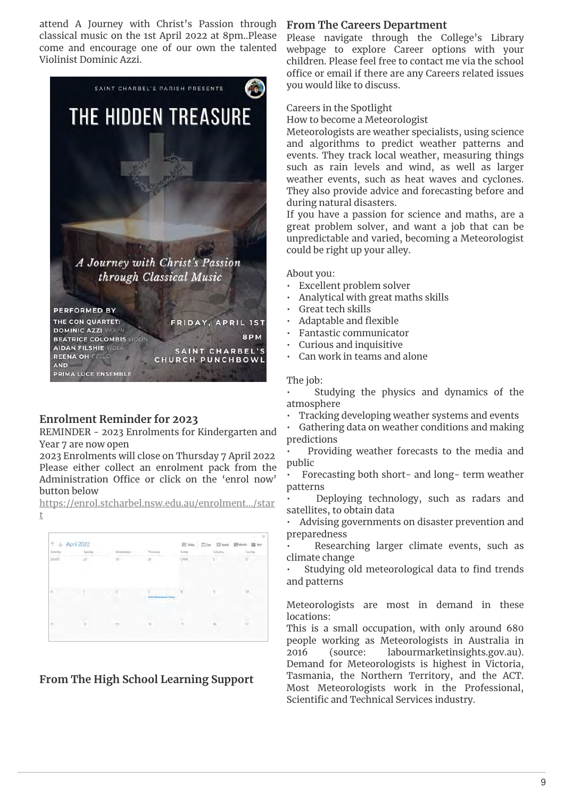attend A Journey with Christ's Passion through classical music on the 1st April 2022 at 8pm..Please come and encourage one of our own the talented Violinist Dominic Azzi.



# **Enrolment Reminder for 2023**

REMINDER - 2023 Enrolments for Kindergarten and Year 7 are now open

2023 Enrolments will close on Thursday 7 April 2022 Please either collect an enrolment pack from the Administration Office or click on the 'enrol now' button below

https://enrol.stcharbel.nsw.edu.au/enrolment.../star t



**From The High School Learning Support**

# **From The Careers Department**

Please navigate through the College's Library webpage to explore Career options with your children. Please feel free to contact me via the school office or email if there are any Careers related issues you would like to discuss.

#### Careers in the Spotlight

How to become a Meteorologist

Meteorologists are weather specialists, using science and algorithms to predict weather patterns and events. They track local weather, measuring things such as rain levels and wind, as well as larger weather events, such as heat waves and cyclones. They also provide advice and forecasting before and during natural disasters.

If you have a passion for science and maths, are a great problem solver, and want a job that can be unpredictable and varied, becoming a Meteorologist could be right up your alley.

About you:

- Excellent problem solver
- Analytical with great maths skills
- Great tech skills
- Adaptable and flexible
- Fantastic communicator
- Curious and inquisitive
- Can work in teams and alone

#### The job:

- Studying the physics and dynamics of the atmosphere
- Tracking developing weather systems and events
- Gathering data on weather conditions and making predictions

• Providing weather forecasts to the media and public

• Forecasting both short- and long- term weather patterns

• Deploying technology, such as radars and satellites, to obtain data

• Advising governments on disaster prevention and preparedness

Researching larger climate events, such as climate change

Studying old meteorological data to find trends and patterns

Meteorologists are most in demand in these locations:

This is a small occupation, with only around 680 people working as Meteorologists in Australia in 2016 (source: labourmarketinsights.gov.au). Demand for Meteorologists is highest in Victoria, Tasmania, the Northern Territory, and the ACT. Most Meteorologists work in the Professional, Scientific and Technical Services industry.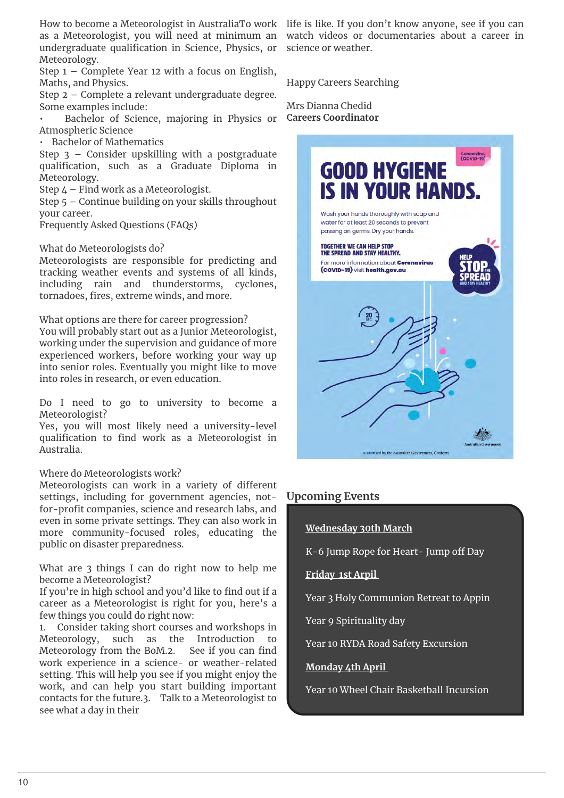How to become a Meteorologist in AustraliaTo work life is like. If you don't know anyone, see if you can as a Meteorologist, you will need at minimum an undergraduate quali
cation in Science, Physics, or Meteorology.

Step 1 – Complete Year 12 with a focus on English, Maths, and Physics.

Step 2 – Complete a relevant undergraduate degree. Some examples include:

• Bachelor of Science, majoring in Physics or Atmospheric Science

• Bachelor of Mathematics

Step 3 – Consider upskilling with a postgraduate quali
cation, such as a Graduate Diploma in Meteorology.

Step 4 – Find work as a Meteorologist.

Step 5 – Continue building on your skills throughout your career.

Frequently Asked Questions (FAQs)

What do Meteorologists do?

Meteorologists are responsible for predicting and tracking weather events and systems of all kinds, including rain and thunderstorms, cyclones, tornadoes, fires, extreme winds, and more.

What options are there for career progression? You will probably start out as a Junior Meteorologist, working under the supervision and guidance of more experienced workers, before working your way up into senior roles. Eventually you might like to move into roles in research, or even education.

Do I need to go to university to become a Meteorologist?

Yes, you will most likely need a university-level qualification to find work as a Meteorologist in Australia.

#### Where do Meteorologists work?

Meteorologists can work in a variety of different settings, including for government agencies, notfor-profit companies, science and research labs, and even in some private settings. They can also work in more community-focused roles, educating the public on disaster preparedness.

What are 3 things I can do right now to help me become a Meteorologist?

If you're in high school and you'd like to find out if a career as a Meteorologist is right for you, here's a few things you could do right now:

1. Consider taking short courses and workshops in Meteorology, such as the Introduction to Meteorology from the BoM.2. See if you can find work experience in a science- or weather-related setting. This will help you see if you might enjoy the work, and can help you start building important contacts for the future.3. Talk to a Meteorologist to see what a day in their

watch videos or documentaries about a career in science or weather.

#### Happy Careers Searching

Mrs Dianna Chedid **Careers Coordinator**



# **Upcoming Events**

#### **Wednesday 30th March**

K-6 Jump Rope for Heart- Jump off Day

**Friday 1st Arpil** 

Year 3 Holy Communion Retreat to Appin

Year 9 Spirituality day

Year 10 RYDA Road Safety Excursion

**Monday 4th April** 

Year 10 Wheel Chair Basketball Incursion